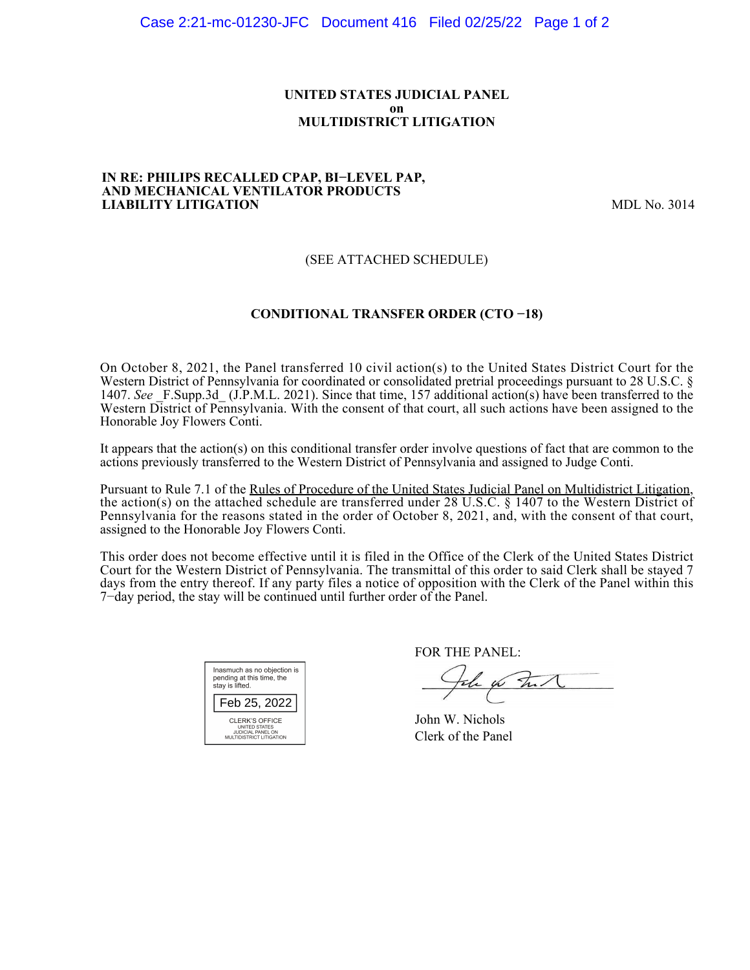### **UNITED STATES JUDICIAL PANEL on MULTIDISTRICT LITIGATION**

#### **IN RE: PHILIPS RECALLED CPAP, BI−LEVEL PAP, AND MECHANICAL VENTILATOR PRODUCTS LIABILITY LITIGATION** MDL No. 3014

## (SEE ATTACHED SCHEDULE)

## **CONDITIONAL TRANSFER ORDER (CTO −18)**

On October 8, 2021, the Panel transferred 10 civil action(s) to the United States District Court for the Western District of Pennsylvania for coordinated or consolidated pretrial proceedings pursuant to 28 U.S.C. § 1407. See F.Supp.3d (J.P.M.L. 2021). Since that time, 157 additional action(s) have been transferred to the Western District of Pennsylvania. With the consent of that court, all such actions have been assigned to the Honorable Joy Flowers Conti.

It appears that the action(s) on this conditional transfer order involve questions of fact that are common to the actions previously transferred to the Western District of Pennsylvania and assigned to Judge Conti.

Pursuant to Rule 7.1 of the Rules of Procedure of the United States Judicial Panel on Multidistrict Litigation, the action(s) on the attached schedule are transferred under 28 U.S.C. § 1407 to the Western District of Pennsylvania for the reasons stated in the order of October 8, 2021, and, with the consent of that court, assigned to the Honorable Joy Flowers Conti.

This order does not become effective until it is filed in the Office of the Clerk of the United States District Court for the Western District of Pennsylvania. The transmittal of this order to said Clerk shall be stayed 7 days from the entry thereof. If any party files a notice of opposition with the Clerk of the Panel within this 7−day period, the stay will be continued until further order of the Panel.

| Inasmuch as no objection is<br>pending at this time, the<br>stay is lifted.      |
|----------------------------------------------------------------------------------|
| Feb 25, 2022                                                                     |
| CLERK'S OFFICE<br>UNITED STATES<br>JUDICIAL PANEL ON<br>MULTIDISTRICT LITIGATION |

FOR THE PANEL:

John on Funk

John W. Nichols Clerk of the Panel